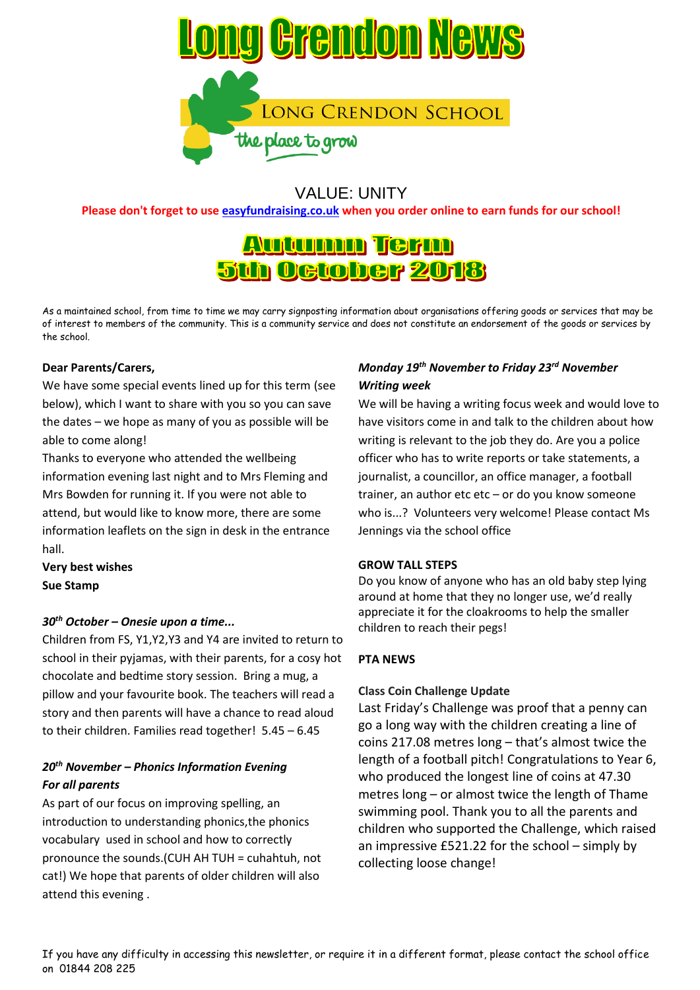

# VALUE: UNITY

**Please don't forget to use [easyfundraising.co.uk](http://easyfundraising.co.uk/) when you order online to earn funds for our school!**

# <u>Autunnn Term</u> **5th October 2018**

As a maintained school, from time to time we may carry signposting information about organisations offering goods or services that may be of interest to members of the community. This is a community service and does not constitute an endorsement of the goods or services by the school.

#### **Dear Parents/Carers,**

We have some special events lined up for this term (see below), which I want to share with you so you can save the dates – we hope as many of you as possible will be able to come along!

Thanks to everyone who attended the wellbeing information evening last night and to Mrs Fleming and Mrs Bowden for running it. If you were not able to attend, but would like to know more, there are some information leaflets on the sign in desk in the entrance hall.

**Very best wishes Sue Stamp**

#### *30th October – Onesie upon a time...*

Children from FS, Y1,Y2,Y3 and Y4 are invited to return to school in their pyjamas, with their parents, for a cosy hot chocolate and bedtime story session. Bring a mug, a pillow and your favourite book. The teachers will read a story and then parents will have a chance to read aloud to their children. Families read together! 5.45 – 6.45

# *20th November – Phonics Information Evening For all parents*

As part of our focus on improving spelling, an introduction to understanding phonics,the phonics vocabulary used in school and how to correctly pronounce the sounds.(CUH AH TUH = cuhahtuh, not cat!) We hope that parents of older children will also attend this evening .

# *Monday 19th November to Friday 23rd November Writing week*

We will be having a writing focus week and would love to have visitors come in and talk to the children about how writing is relevant to the job they do. Are you a police officer who has to write reports or take statements, a journalist, a councillor, an office manager, a football trainer, an author etc etc – or do you know someone who is...? Volunteers very welcome! Please contact Ms Jennings via the school office

#### **GROW TALL STEPS**

Do you know of anyone who has an old baby step lying around at home that they no longer use, we'd really appreciate it for the cloakrooms to help the smaller children to reach their pegs!

#### **PTA NEWS**

#### **Class Coin Challenge Update**

Last Friday's Challenge was proof that a penny can go a long way with the children creating a line of coins 217.08 metres long – that's almost twice the length of a football pitch! Congratulations to Year 6, who produced the longest line of coins at 47.30 metres long – or almost twice the length of Thame swimming pool. Thank you to all the parents and children who supported the Challenge, which raised an impressive £521.22 for the school – simply by collecting loose change!